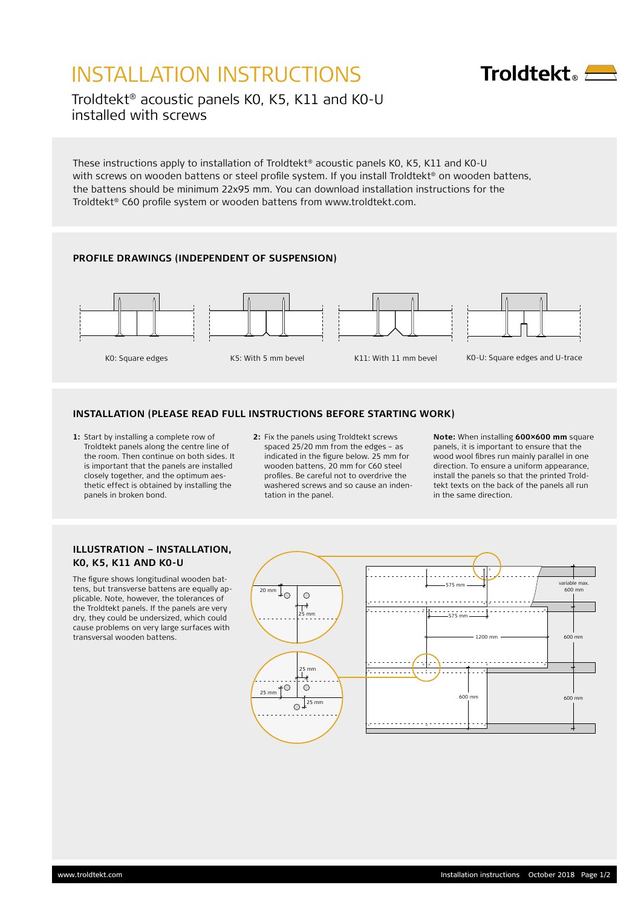# INSTALLATION INSTRUCTIONS



Troldtekt® acoustic panels K0, K5, K11 and K0-U installed with screws

These instructions apply to installation of Troldtekt® acoustic panels K0, K5, K11 and K0-U with screws on wooden battens or steel profile system. If you install Troldtekt® on wooden battens, the battens should be minimum 22x95 mm. You can download installation instructions for the Troldtekt® C60 profile system or wooden battens from www.troldtekt.com.

## **PROFILE DRAWINGS (INDEPENDENT OF SUSPENSION)**



#### **INSTALLATION (PLEASE READ FULL INSTRUCTIONS BEFORE STARTING WORK)**

- **1:** Start by installing a complete row of Troldtekt panels along the centre line of the room. Then continue on both sides. It is important that the panels are installed closely together, and the optimum aesthetic effect is obtained by installing the panels in broken bond.
- **2:** Fix the panels using Troldtekt screws spaced 25/20 mm from the edges – as indicated in the figure below. 25 mm for wooden battens, 20 mm for C60 steel profiles. Be careful not to overdrive the washered screws and so cause an indentation in the panel.

**Note:** When installing **600×600 mm** square panels, it is important to ensure that the wood wool fibres run mainly parallel in one direction. To ensure a uniform appearance, install the panels so that the printed Troldtekt texts on the back of the panels all run in the same direction.

### **ILLUSTRATION – INSTALLATION, K0, K5, K11 AND K0-U**

The figure shows longitudinal wooden battens, but transverse battens are equally applicable. Note, however, the tolerances of the Troldtekt panels. If the panels are very dry, they could be undersized, which could cause problems on very large surfaces with transversal wooden battens.